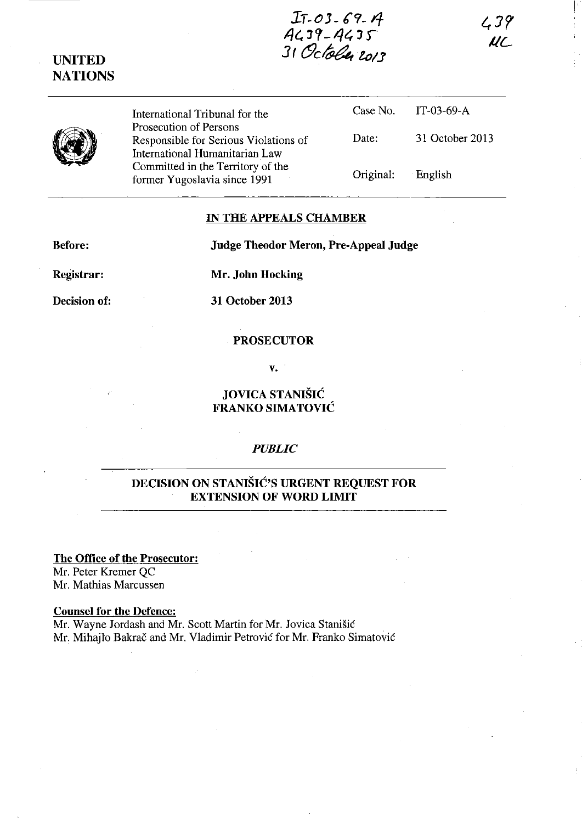## **b-oJ- 6'9- 4- 4e. JC;-I-/t, J r** 31 October 2013

 $439$ UL



**UNITED NATIONS** 

> International Tribunal for the Prosecution of Persons Responsible for Serious Violations of International Humanitarian Law Committed in the Territory of the former Yugoslavia since 1991

Case No. Date: Original: IT-03-69-A 31 October 2013 English

#### **IN THE APPEALS CHAMBER**

**Before: Judge Theodor Meron, Pre-Appeal Judge** 

**Registrar:** 

**Mr. John Hocking** 

**Decision of:** 

**31 October 2013** 

#### . **PROSECUTOR**

**v.** 

### **JOVICA STANISIC FRANKO SIMATOVIC**

### *PUBLIC*

## **DECISION ON STANISIC'S URGENT REQUEST FOR EXTENSION OF WORD LIMIT**

### **The Office of the Prosecutor:**

Mr. Peter Kremer QC Mr. Mathias Marcussen

### **Counsel for the Defence:**

Mr. Wayne Jordash and Mr. Scott Martin for Mr. Jovica Stanisic Mr. Mihajlo Bakrac and Mr. Vladimir Petrovic for Mr. Franko Simatovic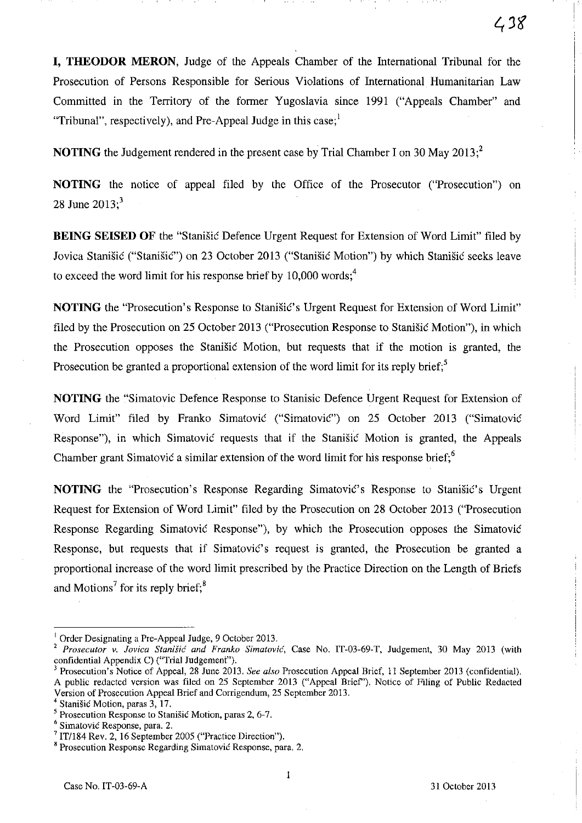**I, THEODOR MERON,** Judge of the Appeals Chamber of the International Tribunal for the Prosecution of Persons Responsible for Serious Violations of International Humanitarian Law Committed in the Territory of the former Yugoslavia since 1991 ("Appeals Chamber" and "Tribunal", respectively), and Pre-Appeal Judge in this case;  $\frac{1}{2}$ 

**NOTING** the Judgement rendered in the present case by Trial Chamber I on 30 May 2013;<sup>2</sup>

**NOTING** the notice of appeal filed by the Office of the Prosecutor ("Prosecution") on 28 June  $2013$ ;<sup>3</sup>

**BEING SEISED OF** the "Stanisic Defence Urgent Request for Extension of Word Limit" filed by Jovica Stanisic ("Stanisic") on 23 October 2013 ("Stanisic Motion") by which Stanisic seeks leave to exceed the word limit for his response brief by  $10,000$  words;<sup>4</sup>

**NOTING** the "Prosecution's Response to Stanistic's Urgent Request for Extension of Word Limit" filed by the Prosecution on 25 October 2013 ("Prosecution Response to Stanisic Motion"), in which the Prosecution opposes the Stanistic Motion, but requests that if the motion is granted, the Prosecution be granted a proportional extension of the word limit for its reply brief;<sup>5</sup>

**NOTING** the "Simatovic Defence Response to Stanisic Defence Urgent Request for Extension of Word Limit" filed by Franko Simatovic ("Simatovic") on 25 October 2013 ("Simatovic Response"), in which Simatovic requests that if the Stanisic Motion is granted, the Appeals Chamber grant Simatović a similar extension of the word limit for his response brief;  $6$ 

**NOTING** the "Prosecution's Response Regarding Simatovic's Response to Stanisic's Urgent Request for Extension of Word Limit" filed by the Prosecution on 28 October 2013 ("Prosecution Response Regarding Simatovic Response"), by which the Prosecution opposes the Simatovic Response, but requests that if Simatovic's request is granted, the Prosecution be granted a proportional increase of the word limit prescribed by the Practice Direction on the Length of Briefs and Motions<sup>7</sup> for its reply brief;<sup>8</sup>

 $\overline{1}$  Order Designating a Pre-Appeal Judge, 9 October 2013.

Prosecutor v. Jovica Stanišić and Franko Simatović, Case No. IT-03-69-T, Judgement, 30 May 2013 (with confidential Appendix C) ("Trial Judgement"),

Prosecution's Notice of Appeal, 28 June 2013, *See also* Prosecution Appeal Brief, 11 September 2013 (confidential), A public redacted version was filed on 25 September 2013 ("Appeal Brief'), Notice of Filing of Public Redacted Version of Prosecution Appeal Brief and Corrigendum, 25 September 2013,

Stanišić Motion, paras 3, 17,

<sup>5</sup> **Prosecution Response to Stanisic Motion, paras 2, 6-7.** 

**<sup>6</sup> Simatovic Response. para. 2.** 

 $7$  IT/184 Rev. 2, 16 September 2005 ("Practice Direction").

**<sup>8</sup> Prosecution Response Regarding Simatovic Response, para. 2.**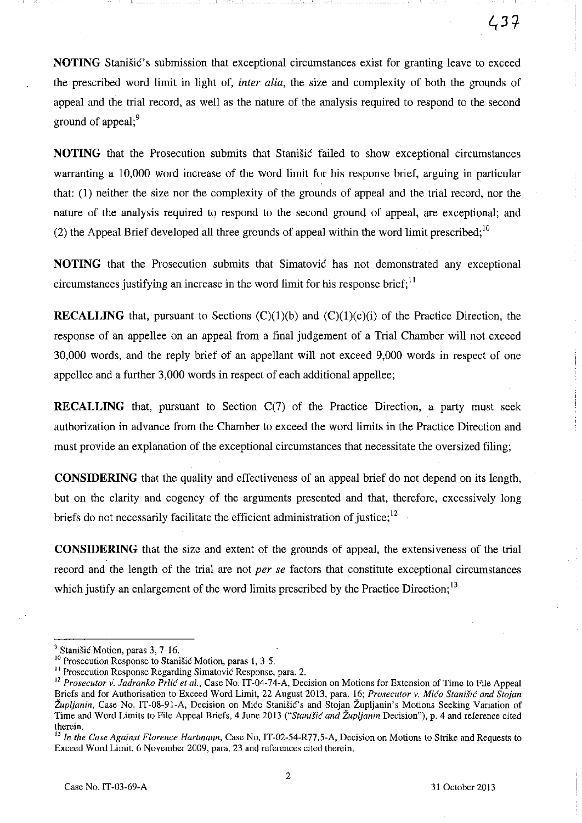**NOTING** Stanistic's submission that exceptional circumstances exist for granting leave to exceed the prescribed word limit in light of, *inter alia,* the size and complexity of both the grounds of appeal and the trial record, as well as the nature of the analysis required to respond to the second ground of appeal; $\frac{9}{2}$ 

**NOTING** that the Prosecution submits that Stanisic failed to show exceptional circumstances warranting a 10,000 word increase of the word limit for his response brief, arguing in particular that: (1) neither the size nor the complexity of the grounds of appeal and the trial record, nor the nature of the analysis required to respond to the second ground of appeal, are exceptional; and (2) the Appeal Brief developed all three grounds of appeal within the word limit prescribed;  $10$ 

**NOTING** that the Prosecution submits that Simatovic has not demonstrated any exceptional circumstances justifying an increase in the word limit for his response brief;  $\mathbf{I}^{\text{1}}$ 

**RECALLING** that, pursuant to Sections (C)(1)(b) and (C)(1)(c)(i) of the Practice Direction, the response of an appellee on an appeal from a final judgement of a Trial Chamber will not exceed 30,000 words, and the reply brief of an appellant will not exceed 9,000 words in respect of one appellee and a further 3,000 words in respect of each additional appellee;

**RECALLING** that, pursuant to Section C(7) of the Practice Direction, a party must seek authorization in advance from the Chamber to exceed the word limits in the Practice Direction and must provide an explanation of the exceptional circumstances that necessitate the oversized filing;

**CONSIDERING** that the quality and effectiveness of an appeal brief do not depend on its length, but on the clarity and cogency of the arguments presented and that, therefore, excessively long briefs do not necessarily facilitate the efficient administration of justice; $12$ 

**CONSIDERING** that the size and extent of the grounds of appeal, the extensiveness of the trial record and the length of the trial are not *per se* factors that constitute exceptional circumstances which justify an enlargement of the word limits prescribed by the Practice Direction;<sup>13</sup>

<sup>&</sup>lt;sup>9</sup> Stanišić Motion, paras 3, 7-16.

<sup>&</sup>lt;sup>10</sup> Prosecution Response to Stanišić Motion, paras 1, 3-5.

**II Prosecution Response Regarding Simatovic Response, para. 2.** 

<sup>&</sup>lt;sup>12</sup> Prosecutor v. Jadranko Prlić et al., Case No. IT-04-74-A, Decision on Motions for Extension of Time to File Appeal Briefs and for Authorisation to Exceed Word Limit, 22 August 2013, para. 16; *Prosecutor v. Mica Stanisic and Stoion*  Župljanin, Case No. IT-08-91-A, Decision on Mićo Stanišić's and Stojan Župljanin's Motions Seeking Variation of Time and Word Limits to File Appeal Briefs, 4 June 2013 *("StaniSic and Zupljanin* Decision"), p. 4 and reference cited **therein.** 

<sup>13</sup>*In the Case Against Florence Hartmann,* Case No. IT-02-54-R77.5-A, Decision on Motions to Strike and Requests to Exceed Word Limit, 6 November 2009, para. 23 and references cited therein.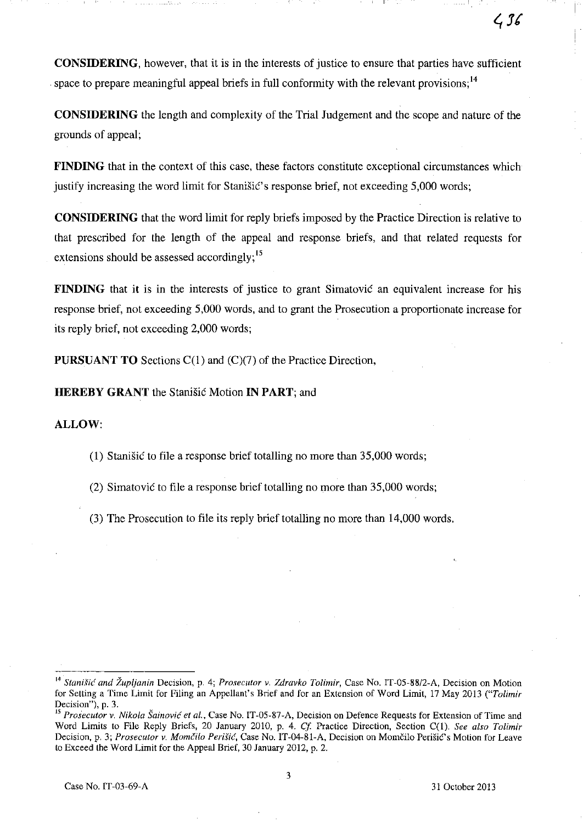**CONSIDERING,** however, that it is in the interests of justice to ensure that parties have sufficient space to prepare meaningful appeal briefs in full conformity with the relevant provisions;  $<sup>14</sup>$ </sup>

**CONSIDERING** the length and complexity of the Trial Judgement and the scope and nature of the grounds of appeal;

**FINDING** that in the context of this case, these factors constitute exceptional circumstances which justify increasing the word limit for Stanisic's response brief, not exceeding 5,000 words;

**CONSIDERING** that the word limit for reply briefs imposed by the Practice Direction is relative to that prescribed for the length of the appeal and response briefs, and that related requests for extensions should be assessed accordingly;<sup>15</sup>

**FINDING** that it is in the interests of justice to grant Simatovic an equivalent increase for his response brief, not exceeding 5,000 words, and to grant the Prosecution a proportionate increase for its reply brief, not exceeding 2,000 words;

**PURSUANT TO** Sections C(I) and (C)(7) of the Practice Direction,

**HEREBY GRANT** the Stanisic Motion **IN PART; and** 

### **ALLOW:**

(I) Stanisic to file a response brief totalling no more than 35,000 words;

(2) Simatovic to file a response brief totalling no more than 35,000 words;

(3) The Prosecution to file its reply brief totalling no more than 14,000 words.

<sup>&</sup>lt;sup>14</sup> Stanišić and Župljanin Decision, p. 4; Prosecutor v. Zdravko Tolimir, Case No. IT-05-88/2-A, Decision on Motion for Setting a Time Limit for Filing an Appellant's Brief and for an Extension of Word Limit, 17 May 2013 *("Tolimir*  **Decision"), p. 3.** 

**<sup>15</sup>***Prosecutor* **v.** *Nikola Sainovic et aI.,* **Case No. IT-OS-87-A, Decision on Defence Requests for Extension** of Time **and**  Word Limits to File Reply Briefs, 20 January 2010, p. 4. Cf. Practice Direction, Section C(1). See also Tolimir Decision, p. 3; Prosecutor v. Momčilo Perišić, Case No. IT-04-81-A, Decision on Momčilo Perišić's Motion for Leave to Exceed the Word Limit for the Appeal Brief, 30 January 2012, p. 2.